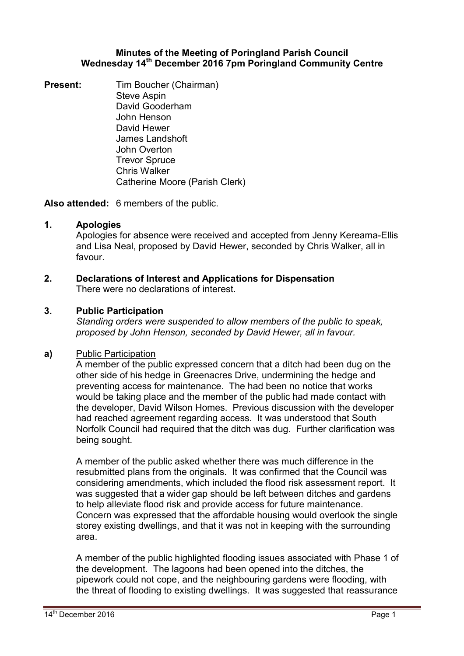#### **Minutes of the Meeting of Poringland Parish Council Wednesday 14th December 2016 7pm Poringland Community Centre**

**Present:** Tim Boucher (Chairman) Steve Aspin David Gooderham John Henson David Hewer James Landshoft John Overton Trevor Spruce Chris Walker Catherine Moore (Parish Clerk)

**Also attended:** 6 members of the public.

## **1. Apologies**

Apologies for absence were received and accepted from Jenny Kereama-Ellis and Lisa Neal, proposed by David Hewer, seconded by Chris Walker, all in favour.

## **2. Declarations of Interest and Applications for Dispensation** There were no declarations of interest.

## **3. Public Participation**

*Standing orders were suspended to allow members of the public to speak, proposed by John Henson, seconded by David Hewer, all in favour.* 

## **a)** Public Participation

A member of the public expressed concern that a ditch had been dug on the other side of his hedge in Greenacres Drive, undermining the hedge and preventing access for maintenance. The had been no notice that works would be taking place and the member of the public had made contact with the developer, David Wilson Homes. Previous discussion with the developer had reached agreement regarding access. It was understood that South Norfolk Council had required that the ditch was dug. Further clarification was being sought.

A member of the public asked whether there was much difference in the resubmitted plans from the originals. It was confirmed that the Council was considering amendments, which included the flood risk assessment report. It was suggested that a wider gap should be left between ditches and gardens to help alleviate flood risk and provide access for future maintenance. Concern was expressed that the affordable housing would overlook the single storey existing dwellings, and that it was not in keeping with the surrounding area.

A member of the public highlighted flooding issues associated with Phase 1 of the development. The lagoons had been opened into the ditches, the pipework could not cope, and the neighbouring gardens were flooding, with the threat of flooding to existing dwellings. It was suggested that reassurance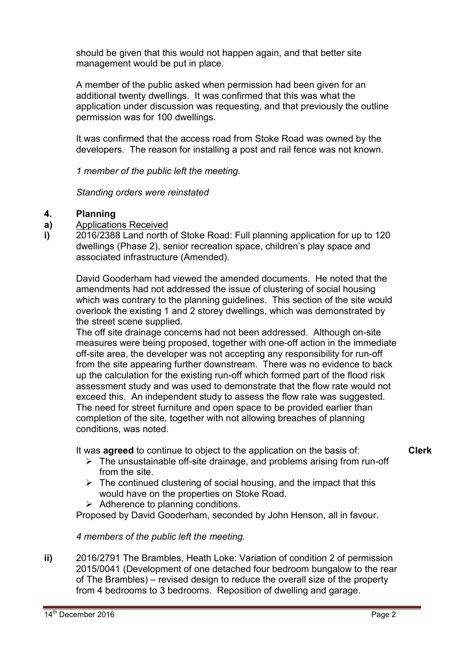should be given that this would not happen again, and that better site management would be put in place.

A member of the public asked when permission had been given for an additional twenty dwellings. It was confirmed that this was what the application under discussion was requesting, and that previously the outline permission was for 100 dwellings.

It was confirmed that the access road from Stoke Road was owned by the developers. The reason for installing a post and rail fence was not known.

*1 member of the public left the meeting.* 

*Standing orders were reinstated* 

#### **4. Planning**

- **a)**  Applications Received
- **i)**  2016/2388 Land north of Stoke Road: Full planning application for up to 120 dwellings (Phase 2), senior recreation space, children's play space and associated infrastructure (Amended).

David Gooderham had viewed the amended documents. He noted that the amendments had not addressed the issue of clustering of social housing which was contrary to the planning guidelines. This section of the site would overlook the existing 1 and 2 storey dwellings, which was demonstrated by the street scene supplied.

The off site drainage concerns had not been addressed. Although on-site measures were being proposed, together with one-off action in the immediate off-site area, the developer was not accepting any responsibility for run-off from the site appearing further downstream. There was no evidence to back up the calculation for the existing run-off which formed part of the flood risk assessment study and was used to demonstrate that the flow rate would not exceed this. An independent study to assess the flow rate was suggested. The need for street furniture and open space to be provided earlier than completion of the site, together with not allowing breaches of planning conditions, was noted.

It was **agreed** to continue to object to the application on the basis of:

- $\triangleright$  The unsustainable off-site drainage, and problems arising from run-off from the site.
- $\triangleright$  The continued clustering of social housing, and the impact that this would have on the properties on Stoke Road.
- $\triangleright$  Adherence to planning conditions.

Proposed by David Gooderham, seconded by John Henson, all in favour.

*4 members of the public left the meeting.* 

**ii)** 2016/2791 The Brambles, Heath Loke: Variation of condition 2 of permission 2015/0041 (Development of one detached four bedroom bungalow to the rear of The Brambles) – revised design to reduce the overall size of the property from 4 bedrooms to 3 bedrooms. Reposition of dwelling and garage.

**Clerk**